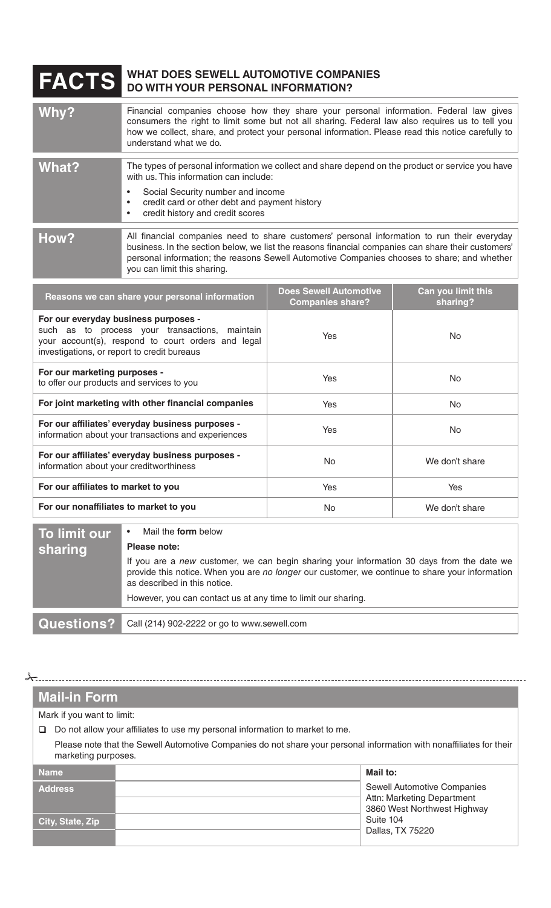## **FACTS WHAT DOES SEWELL AUTOMOTIVE COMPANIES DO WITH YOUR PERSONAL INFORMATION?**

| Why?                                                                                   | Financial companies choose how they share your personal information. Federal law gives<br>consumers the right to limit some but not all sharing. Federal law also requires us to tell you<br>how we collect, share, and protect your personal information. Please read this notice carefully to<br>understand what we do.       |                                                          |                                |
|----------------------------------------------------------------------------------------|---------------------------------------------------------------------------------------------------------------------------------------------------------------------------------------------------------------------------------------------------------------------------------------------------------------------------------|----------------------------------------------------------|--------------------------------|
| What?                                                                                  | The types of personal information we collect and share depend on the product or service you have<br>with us. This information can include:<br>Social Security number and income<br>credit card or other debt and payment history<br>credit history and credit scores                                                            |                                                          |                                |
| How?                                                                                   | All financial companies need to share customers' personal information to run their everyday<br>business. In the section below, we list the reasons financial companies can share their customers'<br>personal information; the reasons Sewell Automotive Companies chooses to share; and whether<br>you can limit this sharing. |                                                          |                                |
| Reasons we can share your personal information<br>For our everyday business purposes - |                                                                                                                                                                                                                                                                                                                                 | <b>Does Sewell Automotive</b><br><b>Companies share?</b> | Can you limit this<br>sharing? |

| For our everyday business purposes -<br>such as to process your transactions,<br>maintain<br>your account(s), respond to court orders and legal<br>investigations, or report to credit bureaus | Yes | No.            |
|------------------------------------------------------------------------------------------------------------------------------------------------------------------------------------------------|-----|----------------|
| For our marketing purposes -<br>to offer our products and services to you                                                                                                                      | Yes | No.            |
| For joint marketing with other financial companies                                                                                                                                             | Yes | No.            |
| For our affiliates' everyday business purposes -<br>information about your transactions and experiences                                                                                        | Yes | No.            |
| For our affiliates' everyday business purposes -<br>information about your creditworthiness                                                                                                    | No. | We don't share |
| For our affiliates to market to you                                                                                                                                                            | Yes | <b>Yes</b>     |
| For our nonaffiliates to market to you                                                                                                                                                         | No. | We don't share |
|                                                                                                                                                                                                |     |                |

| To limit our | Mail the <b>form</b> below<br>$\bullet$                                                                                                                                                                                      |
|--------------|------------------------------------------------------------------------------------------------------------------------------------------------------------------------------------------------------------------------------|
| sharing      | Please note:                                                                                                                                                                                                                 |
|              | If you are a new customer, we can begin sharing your information 30 days from the date we<br>provide this notice. When you are no longer our customer, we continue to share your information<br>as described in this notice. |
|              | However, you can contact us at any time to limit our sharing.                                                                                                                                                                |
|              | Questions? Call (214) 902-2222 or go to www.sewell.com                                                                                                                                                                       |

## **Mail-in Form**

 $\frac{1}{\sqrt{2}}$ 

Mark if you want to limit:

Do not allow your affiliates to use my personal information to market to me.

Please note that the Sewell Automotive Companies do not share your personal information with nonaffiliates for their marketing purposes.

| <b>Name</b>      | Mail to:                                                                                        |
|------------------|-------------------------------------------------------------------------------------------------|
| <b>Address</b>   | <b>Sewell Automotive Companies</b><br>Attn: Marketing Department<br>3860 West Northwest Highway |
| City, State, Zip | Suite 104<br>Dallas, TX 75220                                                                   |
|                  |                                                                                                 |